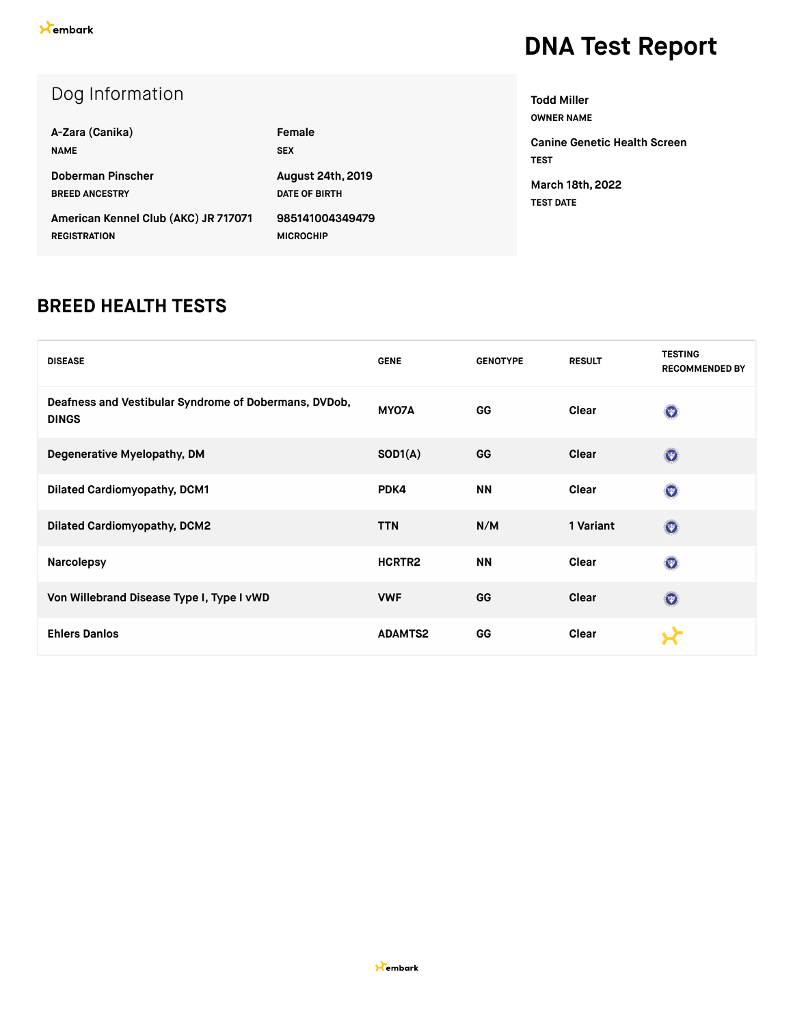| Dog Information                      |                          |
|--------------------------------------|--------------------------|
| A-Zara (Canika)                      | Female                   |
| <b>NAME</b>                          | <b>SEX</b>               |
| Doberman Pinscher                    | <b>August 24th, 2019</b> |
| <b>BREED ANCESTRY</b>                | <b>DATE OF BIRTH</b>     |
| American Kennel Club (AKC) JR 717071 | 985141004349479          |
| <b>REGISTRATION</b>                  | <b>MICROCHIP</b>         |

**Todd Miller OWNER NAME**

**Canine Genetic Health Screen TEST March 18th, 2022 TEST DATE**

#### **BREED HEALTH TESTS**

| <b>DISEASE</b>                                                        | <b>GENE</b>        | <b>GENOTYPE</b> | <b>RESULT</b> | <b>TESTING</b><br><b>RECOMMENDED BY</b> |
|-----------------------------------------------------------------------|--------------------|-----------------|---------------|-----------------------------------------|
| Deafness and Vestibular Syndrome of Dobermans, DVDob,<br><b>DINGS</b> | MY07A              | <b>GG</b>       | Clear         | $\odot$                                 |
| Degenerative Myelopathy, DM                                           | SOD1(A)            | GG              | Clear         | $\odot$                                 |
| <b>Dilated Cardiomyopathy, DCM1</b>                                   | PDK4               | <b>NN</b>       | Clear         | $\circledcirc$                          |
| <b>Dilated Cardiomyopathy, DCM2</b>                                   | <b>TTN</b>         | N/M             | 1 Variant     | $\odot$                                 |
| <b>Narcolepsy</b>                                                     | HCRTR <sub>2</sub> | <b>NN</b>       | Clear         | $\circledcirc$                          |
| Von Willebrand Disease Type I, Type I vWD                             | <b>VWF</b>         | GG              | Clear         | $\odot$                                 |
| <b>Ehlers Danlos</b>                                                  | <b>ADAMTS2</b>     | GG              | Clear         |                                         |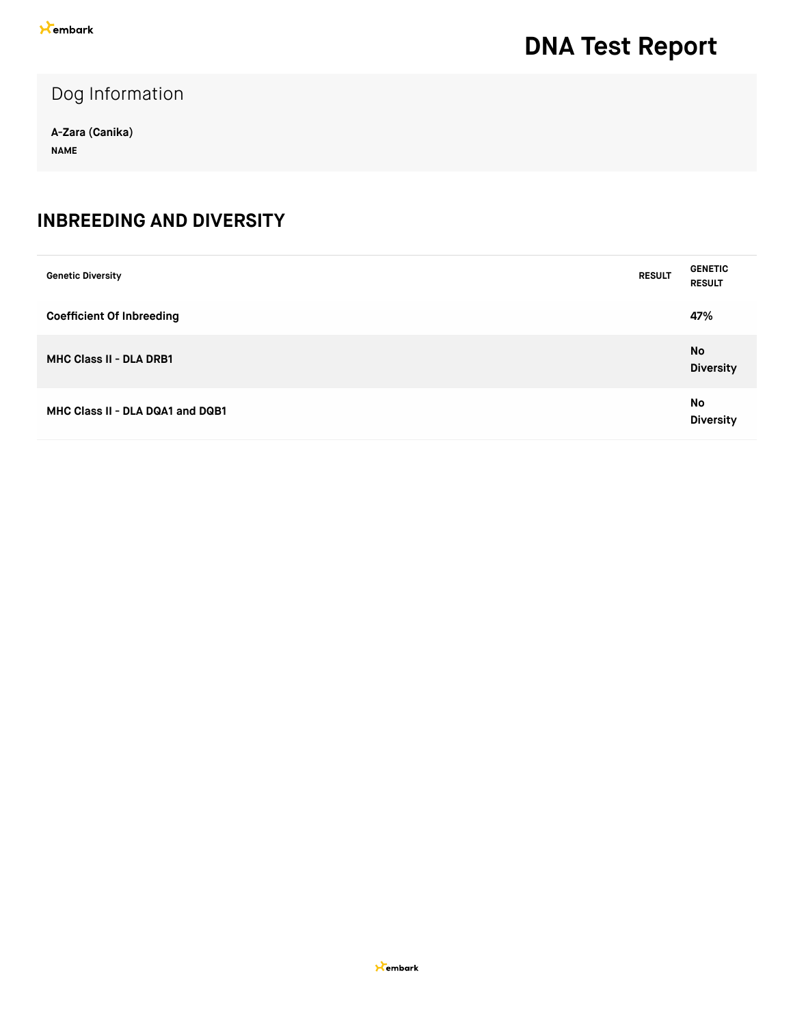Dog Information

**A-Zara (Canika) NAME**

#### **INBREEDING AND DIVERSITY**

| <b>Genetic Diversity</b>         | <b>RESULT</b> | <b>GENETIC</b><br><b>RESULT</b> |
|----------------------------------|---------------|---------------------------------|
| <b>Coefficient Of Inbreeding</b> |               | 47%                             |
| <b>MHC Class II - DLA DRB1</b>   |               | No<br><b>Diversity</b>          |
| MHC Class II - DLA DQA1 and DQB1 |               | No<br><b>Diversity</b>          |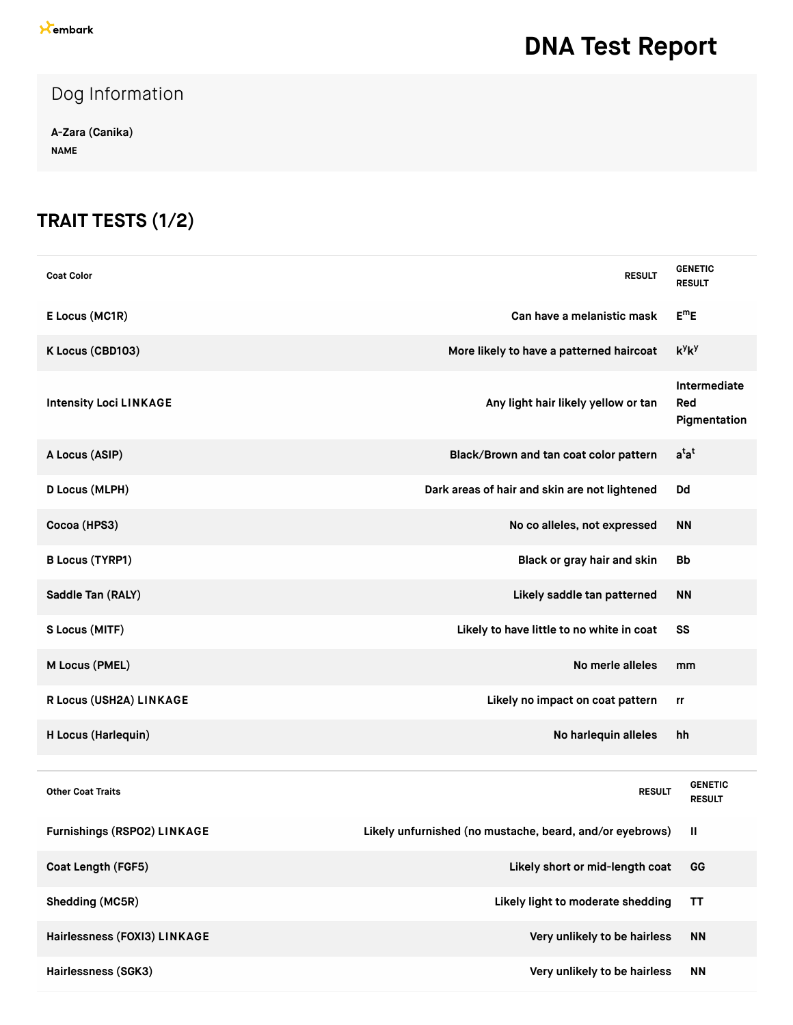#### Dog Information

**A-Zara (Canika) NAME**

### **TRAIT TESTS (1/2)**

| <b>Coat Color</b>             | <b>RESULT</b>                                            | <b>GENETIC</b><br><b>RESULT</b>     |
|-------------------------------|----------------------------------------------------------|-------------------------------------|
| E Locus (MC1R)                | Can have a melanistic mask                               | $E^mE$                              |
| K Locus (CBD103)              | More likely to have a patterned haircoat                 | $k^y k^y$                           |
| <b>Intensity Loci LINKAGE</b> | Any light hair likely yellow or tan                      | Intermediate<br>Red<br>Pigmentation |
| A Locus (ASIP)                | Black/Brown and tan coat color pattern                   | $a^{t}a^{t}$                        |
| D Locus (MLPH)                | Dark areas of hair and skin are not lightened            | Dd                                  |
| Cocoa (HPS3)                  | No co alleles, not expressed                             | <b>NN</b>                           |
| <b>B Locus (TYRP1)</b>        | Black or gray hair and skin                              | <b>Bb</b>                           |
| Saddle Tan (RALY)             | Likely saddle tan patterned                              | <b>NN</b>                           |
| S Locus (MITF)                | Likely to have little to no white in coat                | SS                                  |
| M Locus (PMEL)                | No merle alleles                                         | mm                                  |
| R Locus (USH2A) LINKAGE       | Likely no impact on coat pattern                         | rr                                  |
| H Locus (Harlequin)           | No harlequin alleles                                     | hh                                  |
|                               |                                                          |                                     |
| <b>Other Coat Traits</b>      | <b>RESULT</b>                                            | <b>GENETIC</b><br><b>RESULT</b>     |
| Furnishings (RSPO2) LINKAGE   | Likely unfurnished (no mustache, beard, and/or eyebrows) | Ш                                   |
| Coat Length (FGF5)            | Likely short or mid-length coat                          | GG                                  |
| Shedding (MC5R)               | Likely light to moderate shedding                        | <b>TT</b>                           |
| Hairlessness (FOXI3) LINKAGE  | Very unlikely to be hairless                             | <b>NN</b>                           |
| Hairlessness (SGK3)           | Very unlikely to be hairless                             | <b>NN</b>                           |